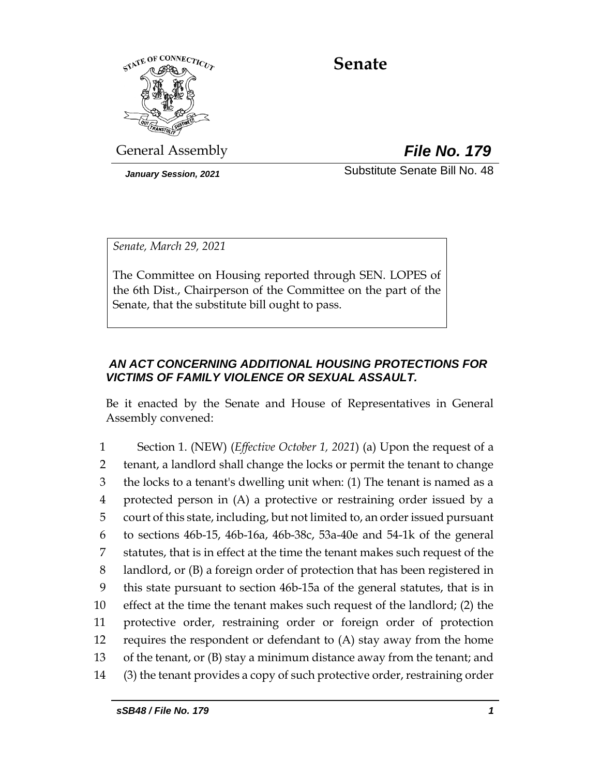

# **Senate**

General Assembly *File No. 179*

*January Session, 2021* Substitute Senate Bill No. 48

*Senate, March 29, 2021*

The Committee on Housing reported through SEN. LOPES of the 6th Dist., Chairperson of the Committee on the part of the Senate, that the substitute bill ought to pass.

# *AN ACT CONCERNING ADDITIONAL HOUSING PROTECTIONS FOR VICTIMS OF FAMILY VIOLENCE OR SEXUAL ASSAULT.*

Be it enacted by the Senate and House of Representatives in General Assembly convened:

 Section 1. (NEW) (*Effective October 1, 2021*) (a) Upon the request of a tenant, a landlord shall change the locks or permit the tenant to change the locks to a tenant's dwelling unit when: (1) The tenant is named as a protected person in (A) a protective or restraining order issued by a court of this state, including, but not limited to, an order issued pursuant to sections 46b-15, 46b-16a, 46b-38c, 53a-40e and 54-1k of the general statutes, that is in effect at the time the tenant makes such request of the landlord, or (B) a foreign order of protection that has been registered in this state pursuant to section 46b-15a of the general statutes, that is in effect at the time the tenant makes such request of the landlord; (2) the protective order, restraining order or foreign order of protection requires the respondent or defendant to (A) stay away from the home of the tenant, or (B) stay a minimum distance away from the tenant; and (3) the tenant provides a copy of such protective order, restraining order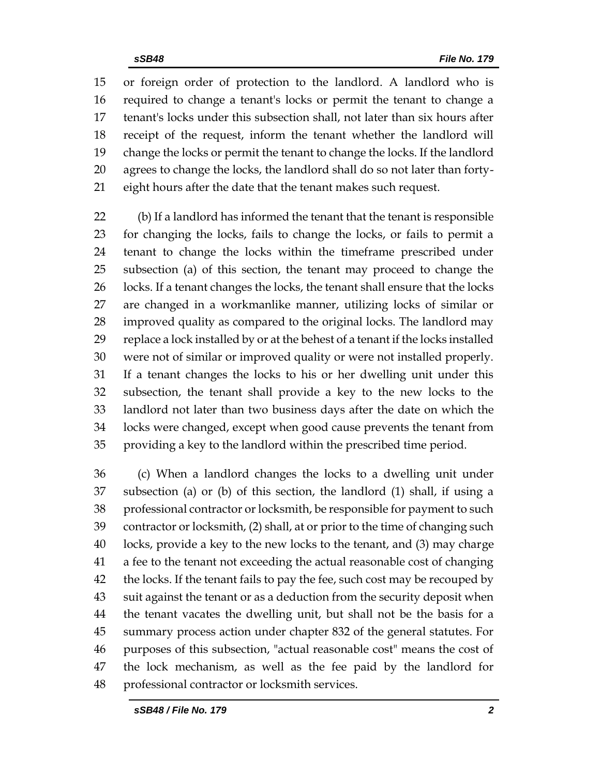or foreign order of protection to the landlord. A landlord who is required to change a tenant's locks or permit the tenant to change a tenant's locks under this subsection shall, not later than six hours after receipt of the request, inform the tenant whether the landlord will change the locks or permit the tenant to change the locks. If the landlord agrees to change the locks, the landlord shall do so not later than forty-eight hours after the date that the tenant makes such request.

 (b) If a landlord has informed the tenant that the tenant is responsible for changing the locks, fails to change the locks, or fails to permit a tenant to change the locks within the timeframe prescribed under subsection (a) of this section, the tenant may proceed to change the 26 locks. If a tenant changes the locks, the tenant shall ensure that the locks are changed in a workmanlike manner, utilizing locks of similar or improved quality as compared to the original locks. The landlord may replace a lock installed by or at the behest of a tenant if the locks installed were not of similar or improved quality or were not installed properly. If a tenant changes the locks to his or her dwelling unit under this subsection, the tenant shall provide a key to the new locks to the landlord not later than two business days after the date on which the locks were changed, except when good cause prevents the tenant from providing a key to the landlord within the prescribed time period.

 (c) When a landlord changes the locks to a dwelling unit under subsection (a) or (b) of this section, the landlord (1) shall, if using a professional contractor or locksmith, be responsible for payment to such contractor or locksmith, (2) shall, at or prior to the time of changing such locks, provide a key to the new locks to the tenant, and (3) may charge a fee to the tenant not exceeding the actual reasonable cost of changing 42 the locks. If the tenant fails to pay the fee, such cost may be recouped by suit against the tenant or as a deduction from the security deposit when the tenant vacates the dwelling unit, but shall not be the basis for a summary process action under chapter 832 of the general statutes. For purposes of this subsection, "actual reasonable cost" means the cost of the lock mechanism, as well as the fee paid by the landlord for professional contractor or locksmith services.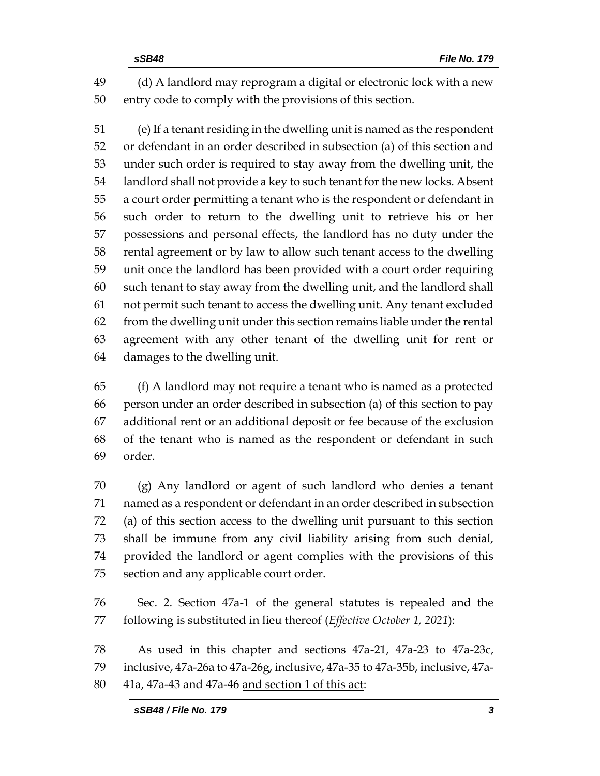(d) A landlord may reprogram a digital or electronic lock with a new entry code to comply with the provisions of this section.

 (e) If a tenant residing in the dwelling unit is named as the respondent or defendant in an order described in subsection (a) of this section and under such order is required to stay away from the dwelling unit, the landlord shall not provide a key to such tenant for the new locks. Absent a court order permitting a tenant who is the respondent or defendant in such order to return to the dwelling unit to retrieve his or her possessions and personal effects, the landlord has no duty under the rental agreement or by law to allow such tenant access to the dwelling unit once the landlord has been provided with a court order requiring such tenant to stay away from the dwelling unit, and the landlord shall not permit such tenant to access the dwelling unit. Any tenant excluded from the dwelling unit under this section remains liable under the rental agreement with any other tenant of the dwelling unit for rent or damages to the dwelling unit.

 (f) A landlord may not require a tenant who is named as a protected person under an order described in subsection (a) of this section to pay additional rent or an additional deposit or fee because of the exclusion of the tenant who is named as the respondent or defendant in such order.

 (g) Any landlord or agent of such landlord who denies a tenant named as a respondent or defendant in an order described in subsection (a) of this section access to the dwelling unit pursuant to this section shall be immune from any civil liability arising from such denial, provided the landlord or agent complies with the provisions of this section and any applicable court order.

 Sec. 2. Section 47a-1 of the general statutes is repealed and the following is substituted in lieu thereof (*Effective October 1, 2021*):

 As used in this chapter and sections 47a-21, 47a-23 to 47a-23c, inclusive, 47a-26a to 47a-26g, inclusive, 47a-35 to 47a-35b, inclusive, 47a-41a, 47a-43 and 47a-46 and section 1 of this act: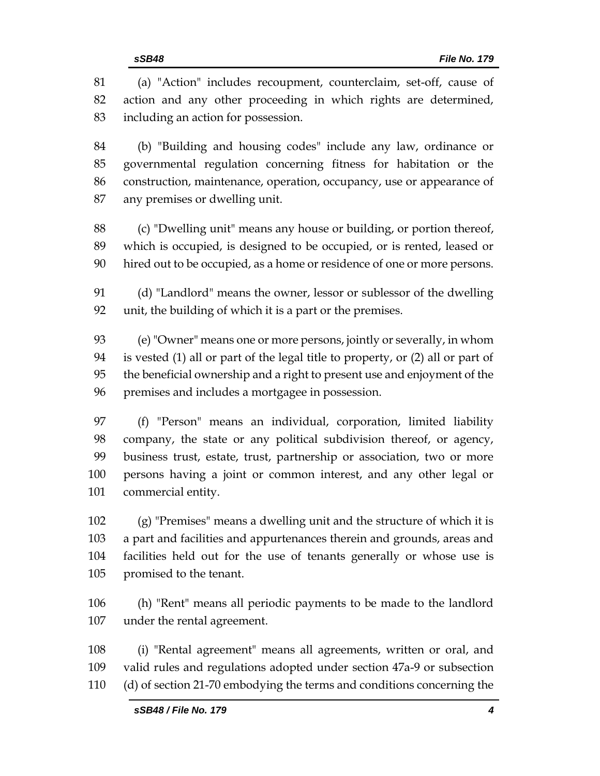(a) "Action" includes recoupment, counterclaim, set-off, cause of action and any other proceeding in which rights are determined, including an action for possession.

 (b) "Building and housing codes" include any law, ordinance or governmental regulation concerning fitness for habitation or the construction, maintenance, operation, occupancy, use or appearance of any premises or dwelling unit.

 (c) "Dwelling unit" means any house or building, or portion thereof, which is occupied, is designed to be occupied, or is rented, leased or hired out to be occupied, as a home or residence of one or more persons.

 (d) "Landlord" means the owner, lessor or sublessor of the dwelling unit, the building of which it is a part or the premises.

 (e) "Owner" means one or more persons, jointly or severally, in whom is vested (1) all or part of the legal title to property, or (2) all or part of the beneficial ownership and a right to present use and enjoyment of the premises and includes a mortgagee in possession.

 (f) "Person" means an individual, corporation, limited liability company, the state or any political subdivision thereof, or agency, business trust, estate, trust, partnership or association, two or more persons having a joint or common interest, and any other legal or commercial entity.

 (g) "Premises" means a dwelling unit and the structure of which it is a part and facilities and appurtenances therein and grounds, areas and facilities held out for the use of tenants generally or whose use is promised to the tenant.

 (h) "Rent" means all periodic payments to be made to the landlord under the rental agreement.

 (i) "Rental agreement" means all agreements, written or oral, and valid rules and regulations adopted under section 47a-9 or subsection (d) of section 21-70 embodying the terms and conditions concerning the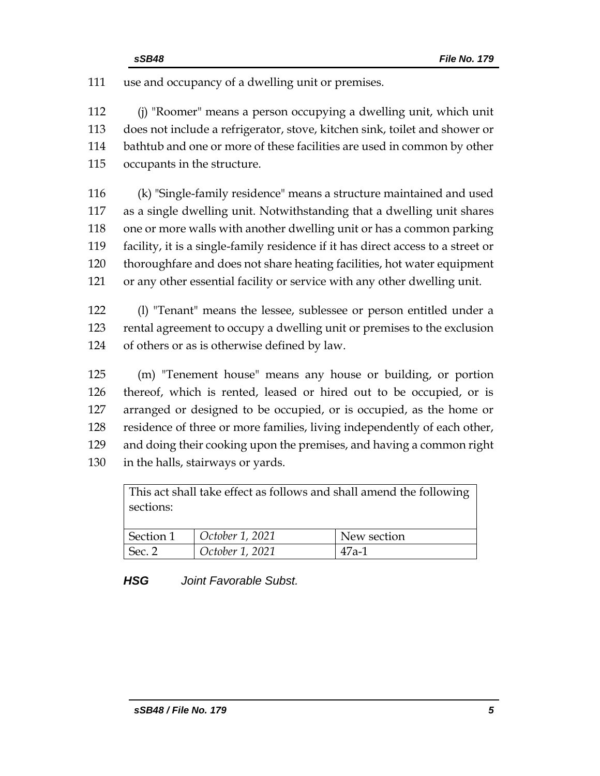use and occupancy of a dwelling unit or premises.

 (j) "Roomer" means a person occupying a dwelling unit, which unit does not include a refrigerator, stove, kitchen sink, toilet and shower or bathtub and one or more of these facilities are used in common by other occupants in the structure.

 (k) "Single-family residence" means a structure maintained and used as a single dwelling unit. Notwithstanding that a dwelling unit shares one or more walls with another dwelling unit or has a common parking facility, it is a single-family residence if it has direct access to a street or thoroughfare and does not share heating facilities, hot water equipment or any other essential facility or service with any other dwelling unit.

 (l) "Tenant" means the lessee, sublessee or person entitled under a rental agreement to occupy a dwelling unit or premises to the exclusion of others or as is otherwise defined by law.

 (m) "Tenement house" means any house or building, or portion thereof, which is rented, leased or hired out to be occupied, or is arranged or designed to be occupied, or is occupied, as the home or residence of three or more families, living independently of each other, and doing their cooking upon the premises, and having a common right in the halls, stairways or yards.

This act shall take effect as follows and shall amend the following sections: Section 1 *October 1, 2021* New section Sec. 2 *October 1, 2021* 47a-1

*HSG Joint Favorable Subst.*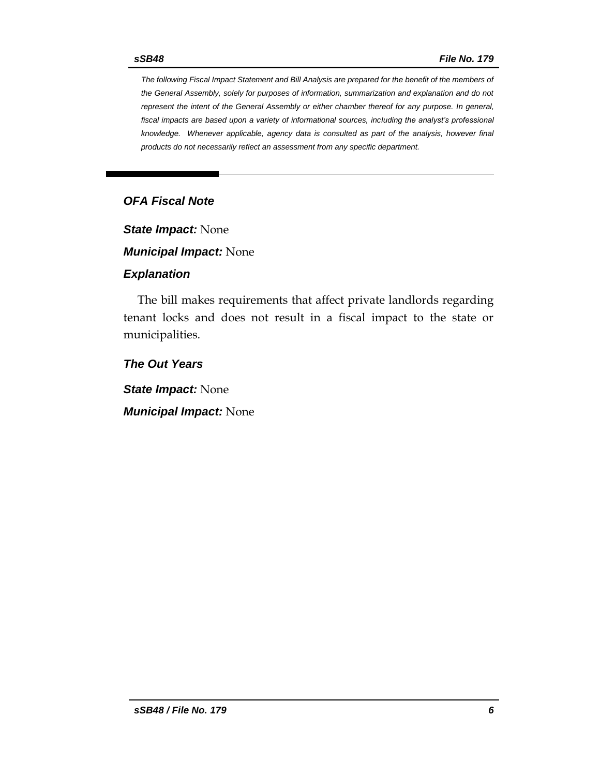*The following Fiscal Impact Statement and Bill Analysis are prepared for the benefit of the members of the General Assembly, solely for purposes of information, summarization and explanation and do not represent the intent of the General Assembly or either chamber thereof for any purpose. In general,*  fiscal impacts are based upon a variety of informational sources, including the analyst's professional *knowledge. Whenever applicable, agency data is consulted as part of the analysis, however final products do not necessarily reflect an assessment from any specific department.*

# *OFA Fiscal Note*

*State Impact:* None

*Municipal Impact:* None

#### *Explanation*

The bill makes requirements that affect private landlords regarding tenant locks and does not result in a fiscal impact to the state or municipalities.

*The Out Years*

*State Impact:* None

*Municipal Impact:* None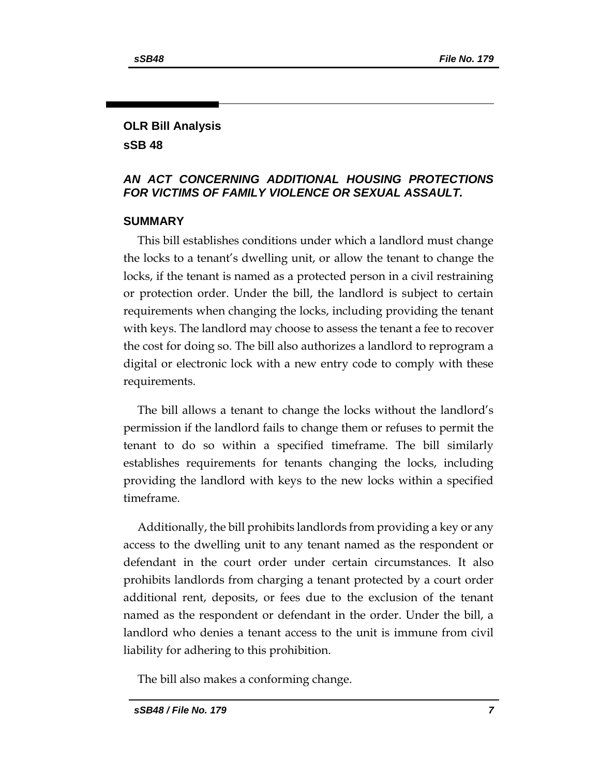# **OLR Bill Analysis sSB 48**

# *AN ACT CONCERNING ADDITIONAL HOUSING PROTECTIONS FOR VICTIMS OF FAMILY VIOLENCE OR SEXUAL ASSAULT.*

#### **SUMMARY**

This bill establishes conditions under which a landlord must change the locks to a tenant's dwelling unit, or allow the tenant to change the locks, if the tenant is named as a protected person in a civil restraining or protection order. Under the bill, the landlord is subject to certain requirements when changing the locks, including providing the tenant with keys. The landlord may choose to assess the tenant a fee to recover the cost for doing so. The bill also authorizes a landlord to reprogram a digital or electronic lock with a new entry code to comply with these requirements.

The bill allows a tenant to change the locks without the landlord's permission if the landlord fails to change them or refuses to permit the tenant to do so within a specified timeframe. The bill similarly establishes requirements for tenants changing the locks, including providing the landlord with keys to the new locks within a specified timeframe.

Additionally, the bill prohibits landlords from providing a key or any access to the dwelling unit to any tenant named as the respondent or defendant in the court order under certain circumstances. It also prohibits landlords from charging a tenant protected by a court order additional rent, deposits, or fees due to the exclusion of the tenant named as the respondent or defendant in the order. Under the bill, a landlord who denies a tenant access to the unit is immune from civil liability for adhering to this prohibition.

The bill also makes a conforming change.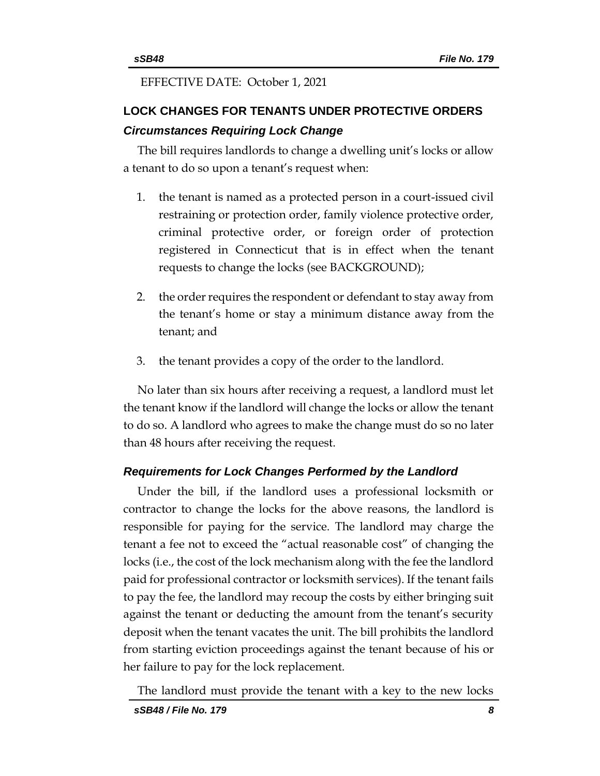#### EFFECTIVE DATE: October 1, 2021

# **LOCK CHANGES FOR TENANTS UNDER PROTECTIVE ORDERS** *Circumstances Requiring Lock Change*

The bill requires landlords to change a dwelling unit's locks or allow a tenant to do so upon a tenant's request when:

- 1. the tenant is named as a protected person in a court-issued civil restraining or protection order, family violence protective order, criminal protective order, or foreign order of protection registered in Connecticut that is in effect when the tenant requests to change the locks (see BACKGROUND);
- 2. the order requires the respondent or defendant to stay away from the tenant's home or stay a minimum distance away from the tenant; and
- 3. the tenant provides a copy of the order to the landlord.

No later than six hours after receiving a request, a landlord must let the tenant know if the landlord will change the locks or allow the tenant to do so. A landlord who agrees to make the change must do so no later than 48 hours after receiving the request.

#### *Requirements for Lock Changes Performed by the Landlord*

Under the bill, if the landlord uses a professional locksmith or contractor to change the locks for the above reasons, the landlord is responsible for paying for the service. The landlord may charge the tenant a fee not to exceed the "actual reasonable cost" of changing the locks (i.e., the cost of the lock mechanism along with the fee the landlord paid for professional contractor or locksmith services). If the tenant fails to pay the fee, the landlord may recoup the costs by either bringing suit against the tenant or deducting the amount from the tenant's security deposit when the tenant vacates the unit. The bill prohibits the landlord from starting eviction proceedings against the tenant because of his or her failure to pay for the lock replacement.

The landlord must provide the tenant with a key to the new locks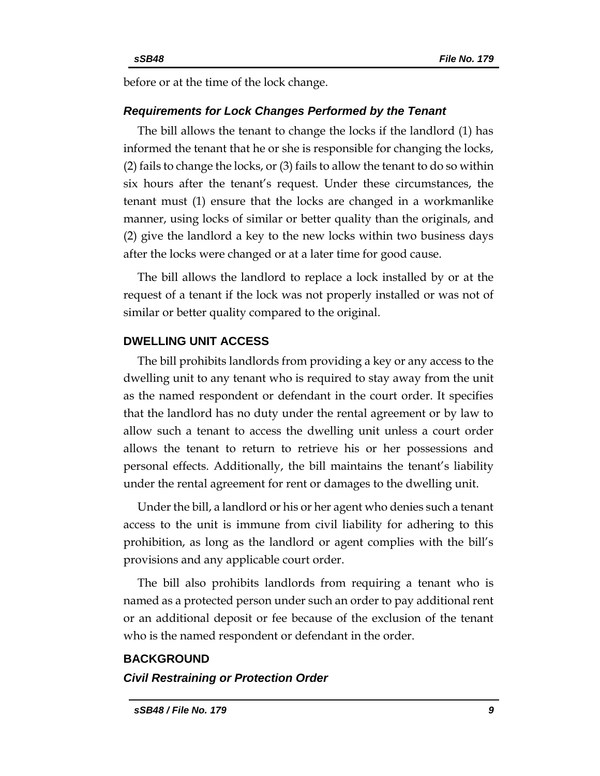before or at the time of the lock change.

#### *Requirements for Lock Changes Performed by the Tenant*

The bill allows the tenant to change the locks if the landlord (1) has informed the tenant that he or she is responsible for changing the locks, (2) fails to change the locks, or (3) fails to allow the tenant to do so within six hours after the tenant's request. Under these circumstances, the tenant must (1) ensure that the locks are changed in a workmanlike manner, using locks of similar or better quality than the originals, and (2) give the landlord a key to the new locks within two business days after the locks were changed or at a later time for good cause.

The bill allows the landlord to replace a lock installed by or at the request of a tenant if the lock was not properly installed or was not of similar or better quality compared to the original.

#### **DWELLING UNIT ACCESS**

The bill prohibits landlords from providing a key or any access to the dwelling unit to any tenant who is required to stay away from the unit as the named respondent or defendant in the court order. It specifies that the landlord has no duty under the rental agreement or by law to allow such a tenant to access the dwelling unit unless a court order allows the tenant to return to retrieve his or her possessions and personal effects. Additionally, the bill maintains the tenant's liability under the rental agreement for rent or damages to the dwelling unit.

Under the bill, a landlord or his or her agent who denies such a tenant access to the unit is immune from civil liability for adhering to this prohibition, as long as the landlord or agent complies with the bill's provisions and any applicable court order.

The bill also prohibits landlords from requiring a tenant who is named as a protected person under such an order to pay additional rent or an additional deposit or fee because of the exclusion of the tenant who is the named respondent or defendant in the order.

#### **BACKGROUND**

#### *Civil Restraining or Protection Order*